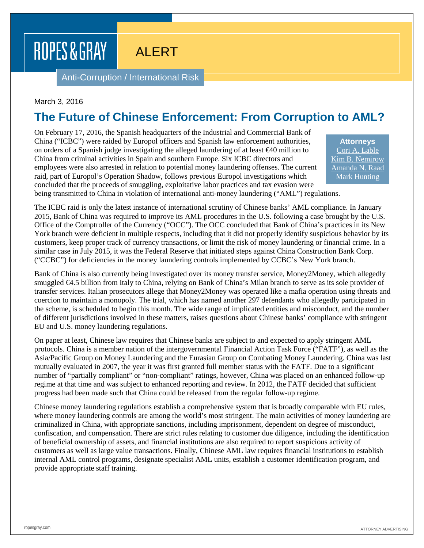# ROPES & GRAY

## ALERT

Anti-Corruption / International Risk

#### March 3, 2016

## **The Future of Chinese Enforcement: From Corruption to AML?**

On February 17, 2016, the Spanish headquarters of the Industrial and Commercial Bank of China ("ICBC") were raided by Europol officers and Spanish law enforcement authorities, on orders of a Spanish judge investigating the alleged laundering of at least €40 million to China from criminal activities in Spain and southern Europe. Six ICBC directors and employees were also arrested in relation to potential money laundering offenses. The current raid, part of Europol's Operation Shadow, follows previous Europol investigations which concluded that the proceeds of smuggling, exploitative labor practices and tax evasion were

**Attorneys** [Cori A. Lable](https://www.ropesgray.com/biographies/l/cori-a-lable.aspx) [Kim B. Nemirow](https://www.ropesgray.com/biographies/n/kim-b-nemirow.aspx) [Amanda N. Raad](https://www.ropesgray.com/biographies/r/amanda-n-raad.aspx) [Mark Hunting](https://www.ropesgray.com/biographies/h/mark-hunting.aspx)

being transmitted to China in violation of international anti-money laundering ("AML") regulations.

The ICBC raid is only the latest instance of international scrutiny of Chinese banks' AML compliance. In January 2015, Bank of China was required to improve its AML procedures in the U.S. following a case brought by the U.S. Office of the Comptroller of the Currency ("OCC"). The OCC concluded that Bank of China's practices in its New York branch were deficient in multiple respects, including that it did not properly identify suspicious behavior by its customers, keep proper track of currency transactions, or limit the risk of money laundering or financial crime. In a similar case in July 2015, it was the Federal Reserve that initiated steps against China Construction Bank Corp. ("CCBC") for deficiencies in the money laundering controls implemented by CCBC's New York branch.

Bank of China is also currently being investigated over its money transfer service, Money2Money, which allegedly smuggled **€4.5** billion from Italy to China, relying on Bank of China's Milan branch to serve as its sole provider of transfer services. Italian prosecutors allege that Money2Money was operated like a mafia operation using threats and coercion to maintain a monopoly. The trial, which has named another 297 defendants who allegedly participated in the scheme, is scheduled to begin this month. The wide range of implicated entities and misconduct, and the number of different jurisdictions involved in these matters, raises questions about Chinese banks' compliance with stringent EU and U.S. money laundering regulations.

On paper at least, Chinese law requires that Chinese banks are subject to and expected to apply stringent AML protocols. China is a member nation of the intergovernmental Financial Action Task Force ("FATF"), as well as the Asia/Pacific Group on Money Laundering and the Eurasian Group on Combating Money Laundering. China was last mutually evaluated in 2007, the year it was first granted full member status with the FATF. Due to a significant number of "partially compliant" or "non-compliant" ratings, however, China was placed on an enhanced follow-up regime at that time and was subject to enhanced reporting and review. In 2012, the FATF decided that sufficient progress had been made such that China could be released from the regular follow-up regime.

Chinese money laundering regulations establish a comprehensive system that is broadly comparable with EU rules, where money laundering controls are among the world's most stringent. The main activities of money laundering are criminalized in China, with appropriate sanctions, including imprisonment, dependent on degree of misconduct, confiscation, and compensation. There are strict rules relating to customer due diligence, including the identification of beneficial ownership of assets, and financial institutions are also required to report suspicious activity of customers as well as large value transactions. Finally, Chinese AML law requires financial institutions to establish internal AML control programs, designate specialist AML units, establish a customer identification program, and provide appropriate staff training.